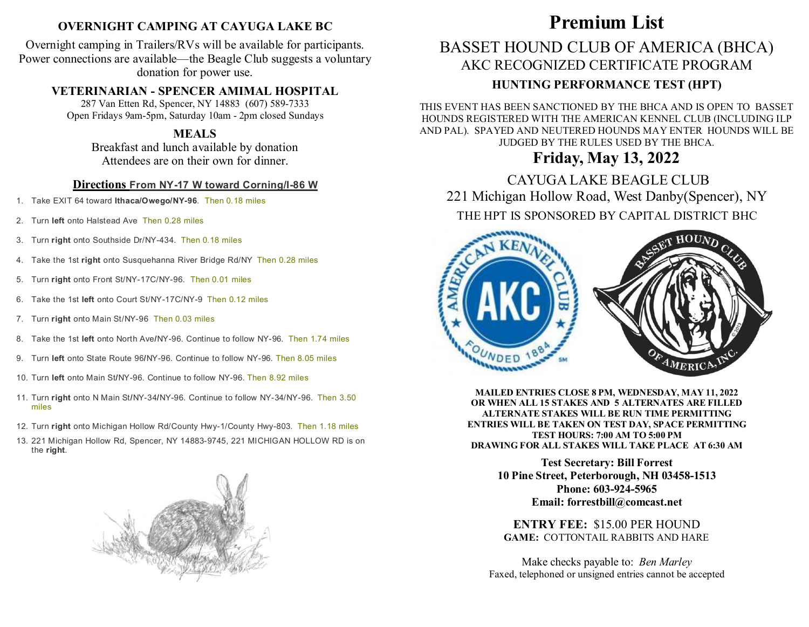## **OVERNIGHT CAMPING AT CAYUGA LAKE BC**

Overnight camping in Trailers/RVs will be available for participants. Power connections are available—the Beagle Club suggests a voluntary donation for power use.

### **VETERINARIAN - SPENCER AMIMAL HOSPITAL**

287 Van Etten Rd, Spencer, NY 14883 (607) 589-7333 Open Fridays 9am-5pm, Saturday 10am - 2pm closed Sundays

### **MEALS**

Breakfast and lunch available by donation Attendees are on their own for dinner.

#### **Directions From NY-17 W toward Corning/I-86 W**

- 1. Take EXIT 64 toward **Ithaca/Owego/NY-96**. Then 0.18 miles
- 2. Turn **left** onto Halstead Ave Then 0.28 miles
- 3. Turn **right** onto Southside Dr/NY-434. Then 0.18 miles
- 4. Take the 1st **right** onto Susquehanna River Bridge Rd/NY Then 0.28 miles
- 5. Turn **right** onto Front St/NY-17C/NY-96. Then 0.01 miles
- 6. Take the 1st **left** onto Court St/NY-17C/NY-9 Then 0.12 miles
- 7. Turn **right** onto Main St/NY-96 Then 0.03 miles
- 8. Take the 1st **left** onto North Ave**/**NY-96. Continue to follow NY-96. Then 1.74 miles
- 9. Turn **left** onto State Route 96**/**NY-96. Continue to follow NY-96. Then 8.05 miles
- 10. Turn **left** onto Main St**/**NY-96. Continue to follow NY-96. Then 8.92 miles
- 11. Turn **right** onto N Main St**/**NY-34**/**NY-96. Continue to follow NY-34/NY-96. Then 3.50 miles
- 12. Turn **right** onto Michigan Hollow Rd/County Hwy-1/County Hwy-803. Then 1.18 miles
- 13. 221 Michigan Hollow Rd, Spencer, NY 14883-9745, 221 MICHIGAN HOLLOW RD is on the **right**.



# **Premium List**

# **BASSET HOUND CLUB OF AMERICA (BHCA)** AKC RECOGNIZED CERTIFICATE PROGRAM

# **HUNTING PERFORMANCE TEST (HPT)**

THIS EVENT HAS BEEN SANCTIONED BY THE BHCA AND IS OPEN TO BASSET<br>HOUNDS REGISTERED WITH THE AMERICAN KENNEL CLUB (INCLUDING ILP HOUNDS REGISTERED WITH THE AMERICAN KENNEL CLUB (INCLUDING ILP AND PAL). SPAYED AND NEUTERED HOUNDS MAY ENTER HOUNDS WILL BE JUDGED BY THE RULES USED BY THE BHCA.

### The case of the measure of the charge. **Friday, May 13, 2022**

CAYUGA LAKE BEAGLE CLUB 221 Michigan Hollow Road, West Danby(Spencer), NY  $\frac{1}{2}$ THE HPT IS SPONSORED BY CAPITAL DISTRICT BHC



**MAILED ENTRIES CLOSE 8 PM, WEDNESDAY, MAY 11, 2022 OR WHEN ALL 15 STAKES AND 5 ALTERNATES ARE FILLED ALTERNATE STAKES WILL BE RUN TIME PERMITTING ENTRIES WILL BE TAKEN ON TEST DAY, SPACE PERMITTING TEST HOURS: 7:00 AM TO 5:00 PM DRAWING FOR ALL STAKES WILL TAKE PLACE AT 6:30 AM**

> **Test Secretary: Bill Forrest 10 Pine Street, Peterborough, NH 03458-1513 Phone: 603-924-5965 Email: forrestbill@comcast.net**

**ENTRY FEE:** \$15.00 PER HOUND **GAME:** COTTONTAIL RABBITS AND HARE

Make checks payable to: *Ben Marley*  Faxed, telephoned or unsigned entries cannot be accepted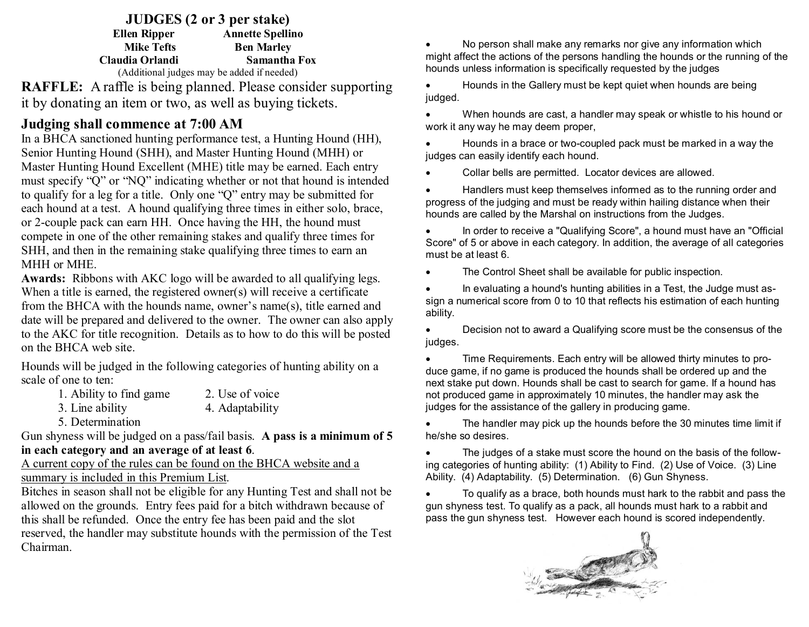**JUDGES (2 or 3 per stake) Ellen Ripper Annette Spellino Mike Tefts Ben Marley Claudia Orlandi Samantha Fox** (Additional judges may be added if needed)

**RAFFLE:** A raffle is being planned. Please consider supporting it by donating an item or two, as well as buying tickets.

## **Judging shall commence at 7:00 AM**

In a BHCA sanctioned hunting performance test, a Hunting Hound (HH), Senior Hunting Hound (SHH), and Master Hunting Hound (MHH) or Master Hunting Hound Excellent (MHE) title may be earned. Each entry must specify "Q" or "NQ" indicating whether or not that hound is intended to qualify for a leg for a title. Only one "Q" entry may be submitted for each hound at a test. A hound qualifying three times in either solo, brace, or 2-couple pack can earn HH. Once having the HH, the hound must compete in one of the other remaining stakes and qualify three times for SHH, and then in the remaining stake qualifying three times to earn an MHH or MHE.

**Awards:** Ribbons with AKC logo will be awarded to all qualifying legs. When a title is earned, the registered owner(s) will receive a certificate from the BHCA with the hounds name, owner's name(s), title earned and date will be prepared and delivered to the owner. The owner can also apply to the AKC for title recognition. Details as to how to do this will be posted on the BHCA web site.

Hounds will be judged in the following categories of hunting ability on a scale of one to ten:

1. Ability to find game 2. Use of voice

3. Line ability 4. Adaptability

5. Determination

Gun shyness will be judged on a pass/fail basis. **A pass is a minimum of 5 in each category and an average of at least 6**.

A current copy of the rules can be found on the BHCA website and a summary is included in this Premium List.

Bitches in season shall not be eligible for any Hunting Test and shall not be allowed on the grounds. Entry fees paid for a bitch withdrawn because of this shall be refunded. Once the entry fee has been paid and the slot reserved, the handler may substitute hounds with the permission of the Test

Chairman.

No person shall make any remarks nor give any information which might affect the actions of the persons handling the hounds or the running of the hounds unless information is specifically requested by the judges

Hounds in the Gallery must be kept quiet when hounds are being judged.

When hounds are cast, a handler may speak or whistle to his hound or work it any way he may deem proper,

Hounds in a brace or two-coupled pack must be marked in a way the judges can easily identify each hound.

Collar bells are permitted. Locator devices are allowed.

Handlers must keep themselves informed as to the running order and progress of the judging and must be ready within hailing distance when their hounds are called by the Marshal on instructions from the Judges.

 In order to receive a "Qualifying Score", a hound must have an "Official Score" of 5 or above in each category. In addition, the average of all categories must be at least 6.

• The Control Sheet shall be available for public inspection.

• In evaluating a hound's hunting abilities in a Test, the Judge must assign a numerical score from 0 to 10 that reflects his estimation of each hunting ability.

Decision not to award a Qualifying score must be the consensus of the judges.

• Time Requirements. Each entry will be allowed thirty minutes to produce game, if no game is produced the hounds shall be ordered up and the next stake put down. Hounds shall be cast to search for game. If a hound has not produced game in approximately 10 minutes, the handler may ask the judges for the assistance of the gallery in producing game.

The handler may pick up the hounds before the 30 minutes time limit if he/she so desires.

The judges of a stake must score the hound on the basis of the following categories of hunting ability: (1) Ability to Find. (2) Use of Voice. (3) Line Ability. (4) Adaptability. (5) Determination. (6) Gun Shyness.

To qualify as a brace, both hounds must hark to the rabbit and pass the gun shyness test. To qualify as a pack, all hounds must hark to a rabbit and pass the gun shyness test. However each hound is scored independently.

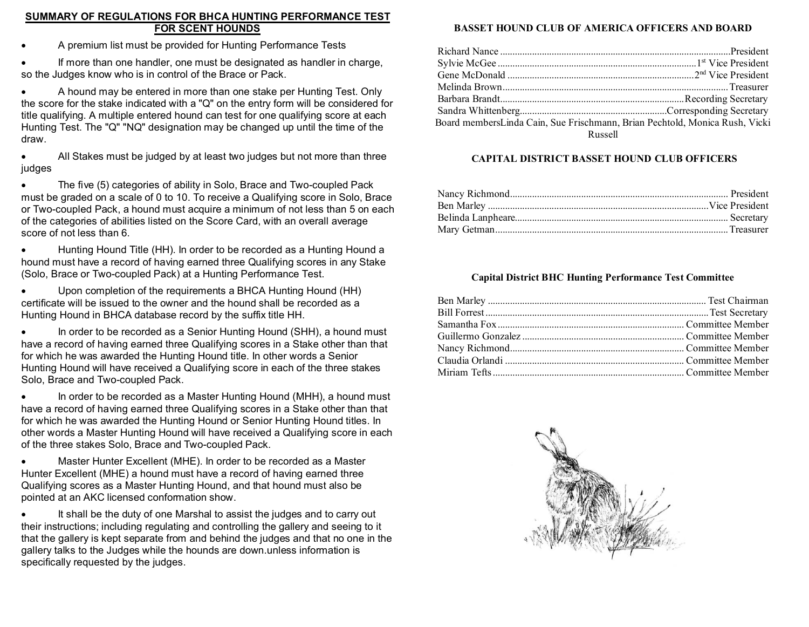#### **SUMMARY OF REGULATIONS FOR BHCA HUNTING PERFORMANCE TEST FOR SCENT HOUNDS**

A premium list must be provided for Hunting Performance Tests

 If more than one handler, one must be designated as handler in charge, so the Judges know who is in control of the Brace or Pack.

A hound may be entered in more than one stake per Hunting Test. Only the score for the stake indicated with a "Q" on the entry form will be considered for title qualifying. A multiple entered hound can test for one qualifying score at each Hunting Test. The "Q" "NQ" designation may be changed up until the time of the draw.

All Stakes must be judged by at least two judges but not more than three judges

The five (5) categories of ability in Solo, Brace and Two-coupled Pack must be graded on a scale of 0 to 10. To receive a Qualifying score in Solo, Brace or Two-coupled Pack, a hound must acquire a minimum of not less than 5 on each of the categories of abilities listed on the Score Card, with an overall average score of not less than 6.

Hunting Hound Title (HH). In order to be recorded as a Hunting Hound a hound must have a record of having earned three Qualifying scores in any Stake (Solo, Brace or Two-coupled Pack) at a Hunting Performance Test.

Upon completion of the requirements a BHCA Hunting Hound (HH) certificate will be issued to the owner and the hound shall be recorded as a Hunting Hound in BHCA database record by the suffix title HH.

• In order to be recorded as a Senior Hunting Hound (SHH), a hound must have a record of having earned three Qualifying scores in a Stake other than that for which he was awarded the Hunting Hound title. In other words a Senior Hunting Hound will have received a Qualifying score in each of the three stakes Solo, Brace and Two-coupled Pack.

 In order to be recorded as a Master Hunting Hound (MHH), a hound must have a record of having earned three Qualifying scores in a Stake other than that for which he was awarded the Hunting Hound or Senior Hunting Hound titles. In other words a Master Hunting Hound will have received a Qualifying score in each of the three stakes Solo, Brace and Two-coupled Pack.

 Master Hunter Excellent (MHE). In order to be recorded as a Master Hunter Excellent (MHE) a hound must have a record of having earned three Qualifying scores as a Master Hunting Hound, and that hound must also be pointed at an AKC licensed conformation show.

 It shall be the duty of one Marshal to assist the judges and to carry out their instructions; including regulating and controlling the gallery and seeing to it that the gallery is kept separate from and behind the judges and that no one in the gallery talks to the Judges while the hounds are down.unless information is specifically requested by the judges.

### **BASSET HOUND CLUB OF AMERICA OFFICERS AND BOARD**

| Board membersLinda Cain, Sue Frischmann, Brian Pechtold, Monica Rush, Vicki |  |
|-----------------------------------------------------------------------------|--|
| Russell                                                                     |  |

#### **CAPITAL DISTRICT BASSET HOUND CLUB OFFICERS**

#### **Capital District BHC Hunting Performance Test Committee**